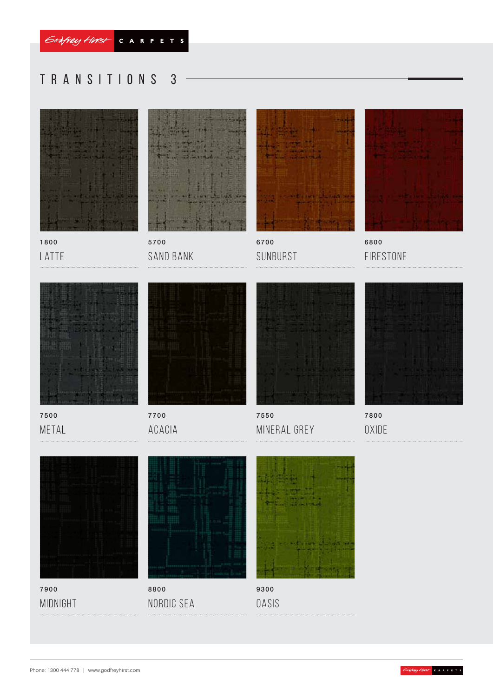# Transitions 3



1800 LATTE



5700 Sand Bank



6700 SUNBURST



6800 Firestone



7500 **METAL** 



7700 Acacia



7550 Mineral Grey



7800 **OXIDE** 



7900 midnight



Nordic Sea



**OASIS**